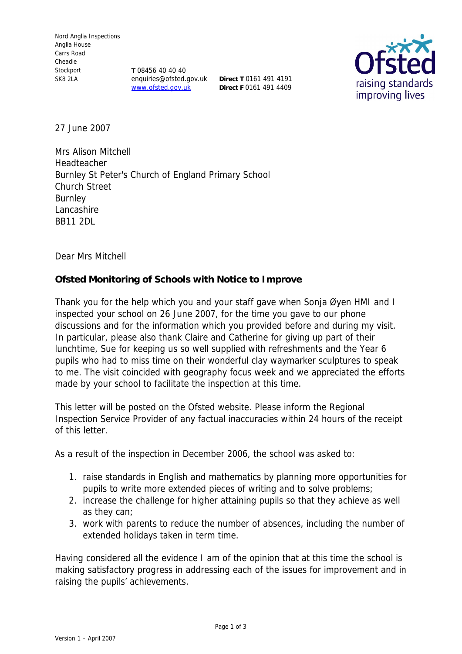**T** 08456 40 40 40 enquiries@ofsted.gov.uk **Direct T** 0161 491 4191 www.ofsted.gov.uk

**Direct F** 0161 491 4409



27 June 2007

Mrs Alison Mitchell Headteacher Burnley St Peter's Church of England Primary School Church Street **Burnley** Lancashire BB11 2DL

Dear Mrs Mitchell

**Ofsted Monitoring of Schools with Notice to Improve**

Thank you for the help which you and your staff gave when Sonja Øyen HMI and I inspected your school on 26 June 2007, for the time you gave to our phone discussions and for the information which you provided before and during my visit. In particular, please also thank Claire and Catherine for giving up part of their lunchtime, Sue for keeping us so well supplied with refreshments and the Year 6 pupils who had to miss time on their wonderful clay waymarker sculptures to speak to me. The visit coincided with geography focus week and we appreciated the efforts made by your school to facilitate the inspection at this time.

This letter will be posted on the Ofsted website. Please inform the Regional Inspection Service Provider of any factual inaccuracies within 24 hours of the receipt of this letter.

As a result of the inspection in December 2006, the school was asked to:

- 1. raise standards in English and mathematics by planning more opportunities for pupils to write more extended pieces of writing and to solve problems;
- 2. increase the challenge for higher attaining pupils so that they achieve as well as they can;
- 3. work with parents to reduce the number of absences, including the number of extended holidays taken in term time.

Having considered all the evidence I am of the opinion that at this time the school is making satisfactory progress in addressing each of the issues for improvement and in raising the pupils' achievements.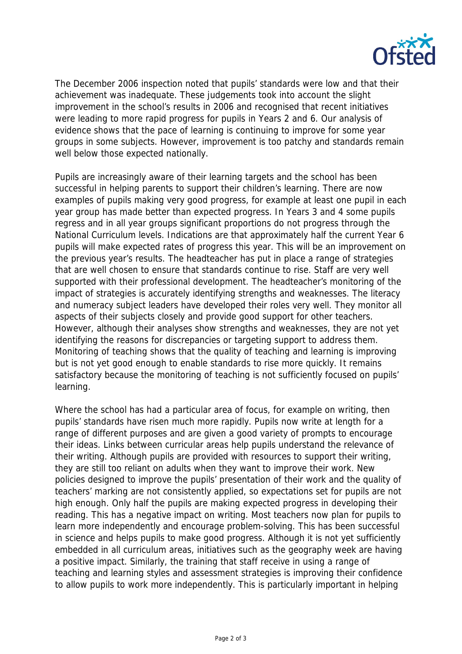

The December 2006 inspection noted that pupils' standards were low and that their achievement was inadequate. These judgements took into account the slight improvement in the school's results in 2006 and recognised that recent initiatives were leading to more rapid progress for pupils in Years 2 and 6. Our analysis of evidence shows that the pace of learning is continuing to improve for some year groups in some subjects. However, improvement is too patchy and standards remain well below those expected nationally.

Pupils are increasingly aware of their learning targets and the school has been successful in helping parents to support their children's learning. There are now examples of pupils making very good progress, for example at least one pupil in each year group has made better than expected progress. In Years 3 and 4 some pupils regress and in all year groups significant proportions do not progress through the National Curriculum levels. Indications are that approximately half the current Year 6 pupils will make expected rates of progress this year. This will be an improvement on the previous year's results. The headteacher has put in place a range of strategies that are well chosen to ensure that standards continue to rise. Staff are very well supported with their professional development. The headteacher's monitoring of the impact of strategies is accurately identifying strengths and weaknesses. The literacy and numeracy subject leaders have developed their roles very well. They monitor all aspects of their subjects closely and provide good support for other teachers. However, although their analyses show strengths and weaknesses, they are not yet identifying the reasons for discrepancies or targeting support to address them. Monitoring of teaching shows that the quality of teaching and learning is improving but is not yet good enough to enable standards to rise more quickly. It remains satisfactory because the monitoring of teaching is not sufficiently focused on pupils' learning.

Where the school has had a particular area of focus, for example on writing, then pupils' standards have risen much more rapidly. Pupils now write at length for a range of different purposes and are given a good variety of prompts to encourage their ideas. Links between curricular areas help pupils understand the relevance of their writing. Although pupils are provided with resources to support their writing, they are still too reliant on adults when they want to improve their work. New policies designed to improve the pupils' presentation of their work and the quality of teachers' marking are not consistently applied, so expectations set for pupils are not high enough. Only half the pupils are making expected progress in developing their reading. This has a negative impact on writing. Most teachers now plan for pupils to learn more independently and encourage problem-solving. This has been successful in science and helps pupils to make good progress. Although it is not yet sufficiently embedded in all curriculum areas, initiatives such as the geography week are having a positive impact. Similarly, the training that staff receive in using a range of teaching and learning styles and assessment strategies is improving their confidence to allow pupils to work more independently. This is particularly important in helping